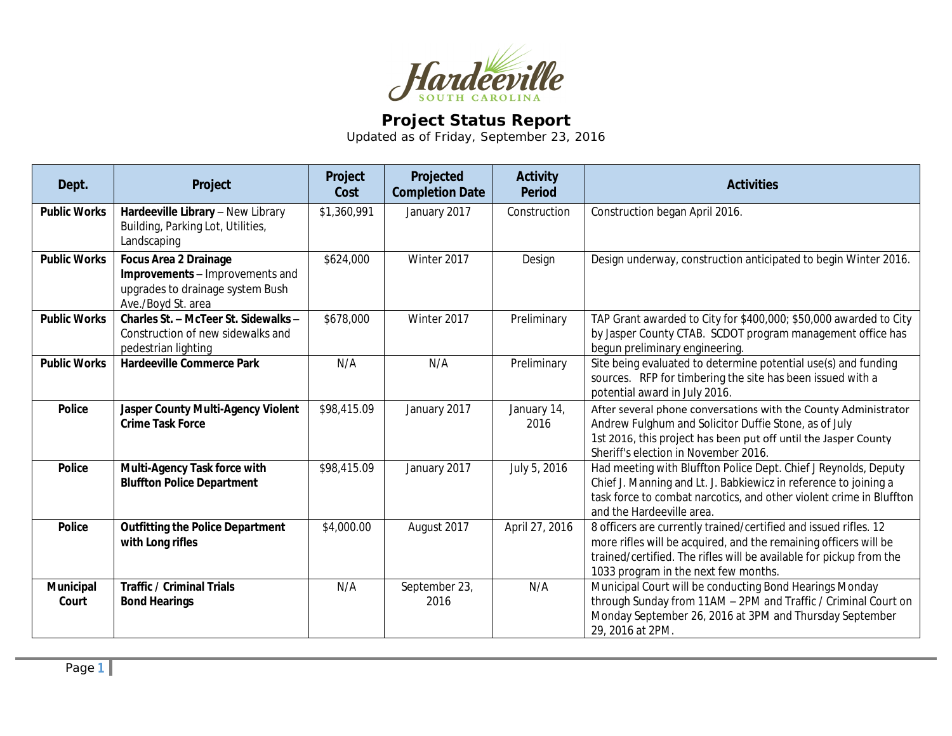

## **Project Status Report**

Updated as of Friday, September 23, 2016

| Dept.                     | Project                                                                                                                   | Project<br>Cost | Projected<br><b>Completion Date</b> | <b>Activity</b><br><b>Period</b> | <b>Activities</b>                                                                                                                                                                                                                                   |
|---------------------------|---------------------------------------------------------------------------------------------------------------------------|-----------------|-------------------------------------|----------------------------------|-----------------------------------------------------------------------------------------------------------------------------------------------------------------------------------------------------------------------------------------------------|
| <b>Public Works</b>       | Hardeeville Library - New Library<br>Building, Parking Lot, Utilities,<br>Landscaping                                     | \$1,360,991     | January 2017                        | Construction                     | Construction began April 2016.                                                                                                                                                                                                                      |
| <b>Public Works</b>       | <b>Focus Area 2 Drainage</b><br>Improvements - Improvements and<br>upgrades to drainage system Bush<br>Ave./Boyd St. area | \$624,000       | Winter 2017                         | Design                           | Design underway, construction anticipated to begin Winter 2016.                                                                                                                                                                                     |
| <b>Public Works</b>       | Charles St. - McTeer St. Sidewalks -<br>Construction of new sidewalks and<br>pedestrian lighting                          | \$678,000       | Winter 2017                         | Preliminary                      | TAP Grant awarded to City for \$400,000; \$50,000 awarded to City<br>by Jasper County CTAB. SCDOT program management office has<br>begun preliminary engineering.                                                                                   |
| <b>Public Works</b>       | <b>Hardeeville Commerce Park</b>                                                                                          | N/A             | N/A                                 | Preliminary                      | Site being evaluated to determine potential use(s) and funding<br>sources. RFP for timbering the site has been issued with a<br>potential award in July 2016.                                                                                       |
| <b>Police</b>             | Jasper County Multi-Agency Violent<br><b>Crime Task Force</b>                                                             | \$98,415.09     | January 2017                        | January 14,<br>2016              | After several phone conversations with the County Administrator<br>Andrew Fulghum and Solicitor Duffie Stone, as of July<br>1st 2016, this project has been put off until the Jasper County<br>Sheriff's election in November 2016.                 |
| <b>Police</b>             | Multi-Agency Task force with<br><b>Bluffton Police Department</b>                                                         | \$98,415.09     | January 2017                        | July 5, 2016                     | Had meeting with Bluffton Police Dept. Chief J Reynolds, Deputy<br>Chief J. Manning and Lt. J. Babkiewicz in reference to joining a<br>task force to combat narcotics, and other violent crime in Bluffton<br>and the Hardeeville area.             |
| <b>Police</b>             | <b>Outfitting the Police Department</b><br>with Long rifles                                                               | \$4,000.00      | August 2017                         | April 27, 2016                   | 8 officers are currently trained/certified and issued rifles. 12<br>more rifles will be acquired, and the remaining officers will be<br>trained/certified. The rifles will be available for pickup from the<br>1033 program in the next few months. |
| <b>Municipal</b><br>Court | <b>Traffic / Criminal Trials</b><br><b>Bond Hearings</b>                                                                  | N/A             | September 23,<br>2016               | N/A                              | Municipal Court will be conducting Bond Hearings Monday<br>through Sunday from 11AM - 2PM and Traffic / Criminal Court on<br>Monday September 26, 2016 at 3PM and Thursday September<br>29, 2016 at 2PM.                                            |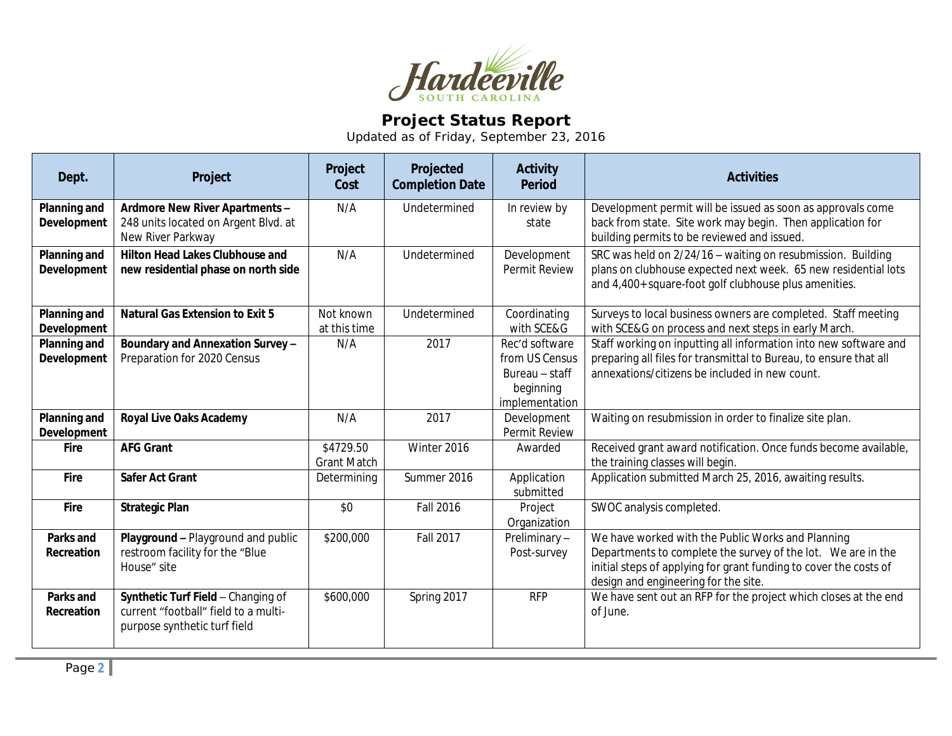

## **Project Status Report**

Updated as of Friday, September 23, 2016

| Dept.                              | Project                                                                                                    | Project<br>Cost                 | Projected<br><b>Completion Date</b> | <b>Activity</b><br><b>Period</b>                                                  | <b>Activities</b>                                                                                                                                                                                                              |
|------------------------------------|------------------------------------------------------------------------------------------------------------|---------------------------------|-------------------------------------|-----------------------------------------------------------------------------------|--------------------------------------------------------------------------------------------------------------------------------------------------------------------------------------------------------------------------------|
| Planning and<br>Development        | Ardmore New River Apartments -<br>248 units located on Argent Blvd. at<br>New River Parkway                | N/A                             | Undetermined                        | In review by<br>state                                                             | Development permit will be issued as soon as approvals come<br>back from state. Site work may begin. Then application for<br>building permits to be reviewed and issued.                                                       |
| <b>Planning and</b><br>Development | <b>Hilton Head Lakes Clubhouse and</b><br>new residential phase on north side                              | N/A                             | Undetermined                        | Development<br><b>Permit Review</b>                                               | SRC was held on 2/24/16 - waiting on resubmission. Building<br>plans on clubhouse expected next week. 65 new residential lots<br>and 4,400+ square-foot golf clubhouse plus amenities.                                         |
| Planning and<br>Development        | <b>Natural Gas Extension to Exit 5</b>                                                                     | Not known<br>at this time       | Undetermined                        | Coordinating<br>with SCE&G                                                        | Surveys to local business owners are completed. Staff meeting<br>with SCE&G on process and next steps in early March.                                                                                                          |
| <b>Planning and</b><br>Development | Boundary and Annexation Survey -<br>Preparation for 2020 Census                                            | N/A                             | 2017                                | Rec'd software<br>from US Census<br>Bureau - staff<br>beginning<br>implementation | Staff working on inputting all information into new software and<br>preparing all files for transmittal to Bureau, to ensure that all<br>annexations/citizens be included in new count.                                        |
| Planning and<br><b>Development</b> | <b>Royal Live Oaks Academy</b>                                                                             | N/A                             | 2017                                | Development<br>Permit Review                                                      | Waiting on resubmission in order to finalize site plan.                                                                                                                                                                        |
| <b>Fire</b>                        | <b>AFG Grant</b>                                                                                           | \$4729.50<br><b>Grant Match</b> | Winter 2016                         | Awarded                                                                           | Received grant award notification. Once funds become available,<br>the training classes will begin.                                                                                                                            |
| Fire                               | <b>Safer Act Grant</b>                                                                                     | Determining                     | Summer 2016                         | Application<br>submitted                                                          | Application submitted March 25, 2016, awaiting results.                                                                                                                                                                        |
| <b>Fire</b>                        | <b>Strategic Plan</b>                                                                                      | \$0                             | <b>Fall 2016</b>                    | Project<br>Organization                                                           | SWOC analysis completed.                                                                                                                                                                                                       |
| Parks and<br>Recreation            | Playground - Playground and public<br>restroom facility for the "Blue<br>House" site                       | \$200,000                       | <b>Fall 2017</b>                    | Preliminary-<br>Post-survey                                                       | We have worked with the Public Works and Planning<br>Departments to complete the survey of the lot. We are in the<br>initial steps of applying for grant funding to cover the costs of<br>design and engineering for the site. |
| Parks and<br>Recreation            | Synthetic Turf Field - Changing of<br>current "football" field to a multi-<br>purpose synthetic turf field | \$600,000                       | Spring 2017                         | <b>RFP</b>                                                                        | We have sent out an RFP for the project which closes at the end<br>of June.                                                                                                                                                    |